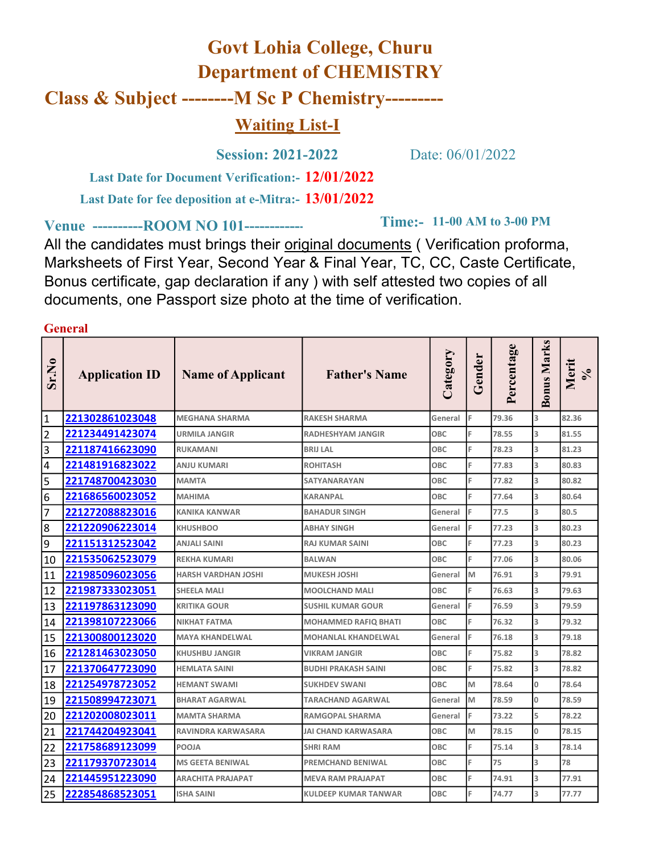## Govt Lohia College, Churu Department of CHEMISTRY Class & Subject --------M Sc P Chemistry--------- Waiting List-I

Session: 2021-2022 Date: 06/01/2022

**Time:- 11-00 AM to 3-00 PM** 

Last Date for Document Verification: - 12/01/2022

Last Date for fee deposition at e-Mitra:- 13/01/2022

Venue -----------ROOM NO 101-------------

All the candidates must brings their original documents ( Verification proforma, Marksheets of First Year, Second Year & Final Year, TC, CC, Caste Certificate, Bonus certificate, gap declaration if any ) with self attested two copies of all documents, one Passport size photo at the time of verification.

General  $\sum_{i=1}^{\infty}$  Application ID Name of Applicant Father's Name  $\begin{bmatrix} \sum_{i=1}^{\infty} \sum_{j=1}^{\infty} \frac{1}{2} \sum_{i=1}^{\infty} \frac{1}{2} \sum_{j=1}^{\infty} \frac{1}{2} \sum_{j=1}^{\infty} \frac{1}{2} \sum_{j=1}^{\infty} \frac{1}{2} \sum_{j=1}^{\infty} \frac{1}{2} \sum_{j=1}^{\infty} \frac{1}{2} \sum_{j=1}$ 1 **221302861023048** MEGHANA SHARMA RAKESH SHARMA General F 79.36 3 82.36 2 **221234491423074** URMILA JANGIR RADHESHYAM JANGIR OBC F 78.55 3 81.55 3 **221187416623090** RUKAMANI BRIJ LAL OBC F 78.23 3 81.23 4 **221481916823022** ANJU KUMARI ROHITASH OBC F 77.83 3 80.83 5 221748700423030 MAMTA SATYANARAYAN OBC F 77.82 3 80.82 6 **221686560023052** MAHIMA KARANPAL OBC F 77.64 3 80.64 7 **221272088823016** KANIKA KANWAR BAHADUR SINGH General F 77.5 3 80.5 8 221220906223014 KHUSHBOO АВНАҮ SINGH General F 77.23 3 80.23 9 221151312523042 ANJALI SAINI RAJ KUMAR SAINI OBC F 77.23 3 80.23 10 221535062523079 REKHA KUMARI BALWAN OBC F 77.06 3 80.06 11 **221985096023056** HARSH VARDHAN JOSHI MUKESH JOSHI General M 76.91 3 79.91 12 **221987333023051** SHEELA MALI MOOLCHAND MALI OBC F 76.63 3 79.63 13 **221197863123090** KRITIKA GOUR SUSHIL KUMAR GOUR General F 76.59 3 79.59 14 **221398107223066** NIKHAT FATMA MOHAMMED RAFIQ BHATI OBC F 76.32 3 79.32 15 221300800123020 MAYA KHANDELWAL MOHANLAL KHANDELWAL General F 76.18 3 79.18 16 221281463023050 KHUSHBU JANGIR VIKRAM JANGIR OBC F 75.82 3 78.82 17 221370647723090 HEMLATA SAINI BUDHI PRAKASH SAINI OBC F 75.82 3 78.82 18 221254978723052 HEMANT SWAMI SUKHDEV SWANI OBC M 78.64 0 78.64 19 221508994723071 BHARAT AGARWAL TARACHAND AGARWAL General M 78.59 0 78.59 20 **221202008023011** MAMTA SHARMA RAMGOPAL SHARMA General F 73.22 5 78.22 21 221744204923041 RAVINDRA KARWASARA JAI CHAND KARWASARA OBC M 78.15 0 78.15 22 **221758689123099** POOJA SHRI RAM OBC F 75.14 3 78.14 23 221179370723014 MS GEETA BENIWAL PREMCHAND BENIWAL OBC F 75 3 78 24 **221445951223090** ARACHITA PRAJAPAT MEVA RAM PRAJAPAT OBC F 74.91 3 77.91 25 222854868523051 ISHA SAINI KULDEEP KUMAR TANWAR OBC F 74.77 3 77.77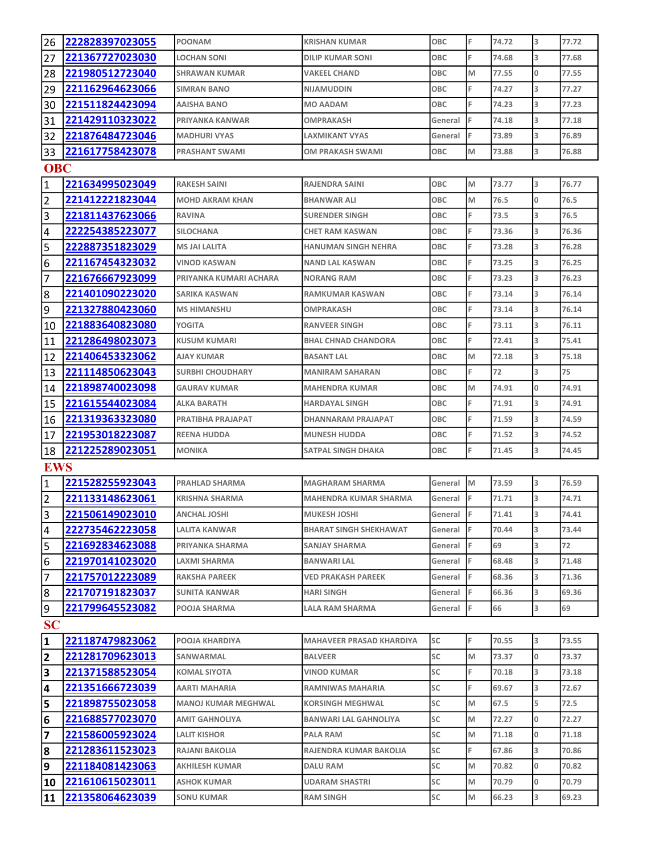| 26                      | 222828397023055 | <b>POONAM</b>              | <b>KRISHAN KUMAR</b>            | <b>OBC</b> | F | 74.72 | 3                       | 77.72 |  |  |
|-------------------------|-----------------|----------------------------|---------------------------------|------------|---|-------|-------------------------|-------|--|--|
| 27                      | 221367727023030 | <b>LOCHAN SONI</b>         | <b>DILIP KUMAR SONI</b>         | OBC        | F | 74.68 | 3                       | 77.68 |  |  |
| 28                      | 221980512723040 | <b>SHRAWAN KUMAR</b>       | <b>VAKEEL CHAND</b>             | OBC        | M | 77.55 | O                       | 77.55 |  |  |
| 29                      | 221162964623066 | <b>SIMRAN BANO</b>         | <b>NIJAMUDDIN</b>               | OBC        | F | 74.27 | 3                       | 77.27 |  |  |
| 30                      | 221511824423094 | <b>AAISHA BANO</b>         | <b>MO AADAM</b>                 | OBC        | F | 74.23 | 3                       | 77.23 |  |  |
| 31                      | 221429110323022 | PRIYANKA KANWAR            | <b>OMPRAKASH</b>                | General    | F | 74.18 | 3                       | 77.18 |  |  |
| 32                      | 221876484723046 | <b>MADHURI VYAS</b>        | <b>LAXMIKANT VYAS</b>           | General    | F | 73.89 | 3                       | 76.89 |  |  |
| 33                      | 221617758423078 | <b>PRASHANT SWAMI</b>      | OM PRAKASH SWAMI                | <b>OBC</b> | M | 73.88 | 3                       | 76.88 |  |  |
| <b>OBC</b>              |                 |                            |                                 |            |   |       |                         |       |  |  |
| $\vert$ 1               | 221634995023049 | <b>RAKESH SAINI</b>        | <b>RAJENDRA SAINI</b>           | <b>OBC</b> | M | 73.77 | 3                       | 76.77 |  |  |
| $\overline{2}$          | 221412221823044 | <b>MOHD AKRAM KHAN</b>     | <b>BHANWAR ALI</b>              | OBC        | M | 76.5  | 0                       | 76.5  |  |  |
| 3                       | 221811437623066 | <b>RAVINA</b>              | <b>SURENDER SINGH</b>           | OBC        | F | 73.5  | 3                       | 76.5  |  |  |
| 4                       | 222254385223077 | <b>SILOCHANA</b>           | CHET RAM KASWAN                 | OBC        | F | 73.36 | 3                       | 76.36 |  |  |
| 5                       | 222887351823029 | <b>MS JAI LALITA</b>       | <b>HANUMAN SINGH NEHRA</b>      | <b>OBC</b> | F | 73.28 | 3                       | 76.28 |  |  |
| 6                       | 221167454323032 | <b>VINOD KASWAN</b>        | NAND LAL KASWAN                 | <b>OBC</b> |   | 73.25 | 3                       | 76.25 |  |  |
| 7                       | 221676667923099 | PRIYANKA KUMARI ACHARA     | <b>NORANG RAM</b>               | <b>OBC</b> | F | 73.23 | 3                       | 76.23 |  |  |
| 8                       | 221401090223020 | <b>SARIKA KASWAN</b>       | <b>RAMKUMAR KASWAN</b>          | <b>OBC</b> |   | 73.14 | 3                       | 76.14 |  |  |
| 9                       | 221327880423060 | <b>MS HIMANSHU</b>         | <b>OMPRAKASH</b>                | <b>OBC</b> | F | 73.14 | 3                       | 76.14 |  |  |
| 10                      | 221883640823080 | <b>YOGITA</b>              | <b>RANVEER SINGH</b>            | OBC        | F | 73.11 | 3                       | 76.11 |  |  |
| 11                      | 221286498023073 | <b>KUSUM KUMARI</b>        | <b>BHAL CHNAD CHANDORA</b>      | OBC        | F | 72.41 | 3                       | 75.41 |  |  |
| 12                      | 221406453323062 | <b>AJAY KUMAR</b>          | <b>BASANT LAL</b>               | OBC        | M | 72.18 | 3                       | 75.18 |  |  |
| 13                      | 221114850623043 | <b>SURBHI CHOUDHARY</b>    | <b>MANIRAM SAHARAN</b>          | <b>OBC</b> |   | 72    | 3                       | 75    |  |  |
| 14                      | 221898740023098 | <b>GAURAV KUMAR</b>        | <b>MAHENDRA KUMAR</b>           | <b>OBC</b> | M | 74.91 | O                       | 74.91 |  |  |
| 15                      | 221615544023084 | <b>ALKA BARATH</b>         | <b>HARDAYAL SINGH</b>           | <b>OBC</b> | F | 71.91 | 3                       | 74.91 |  |  |
| 16                      | 221319363323080 | PRATIBHA PRAJAPAT          | DHANNARAM PRAJAPAT              | <b>OBC</b> | F | 71.59 | 3                       | 74.59 |  |  |
| 17                      | 221953018223087 | <b>REENA HUDDA</b>         | <b>MUNESH HUDDA</b>             | <b>OBC</b> | F | 71.52 | 3                       | 74.52 |  |  |
| 18                      | 221225289023051 | <b>MONIKA</b>              | SATPAL SINGH DHAKA              | OBC        | F | 71.45 | 3                       | 74.45 |  |  |
| <b>EWS</b>              |                 |                            |                                 |            |   |       |                         |       |  |  |
| $\vert$ 1               | 221528255923043 | <b>PRAHLAD SHARMA</b>      | <b>MAGHARAM SHARMA</b>          | General    | M | 73.59 | 3                       | 76.59 |  |  |
| $\overline{2}$          | 221133148623061 | <b>KRISHNA SHARMA</b>      | <b>MAHENDRA KUMAR SHARMA</b>    | General    | F | 71.71 | 3                       | 74.71 |  |  |
| $\overline{3}$          | 221506149023010 | <b>ANCHAL JOSHI</b>        | <b>MUKESH JOSHI</b>             | General F  |   | 71.41 | $\overline{\mathbf{3}}$ | 74.41 |  |  |
| $\overline{4}$          | 222735462223058 | <b>LALITA KANWAR</b>       | <b>BHARAT SINGH SHEKHAWAT</b>   | General    | F | 70.44 | 3                       | 73.44 |  |  |
| 5                       | 221692834623088 | PRIYANKA SHARMA            | SANJAY SHARMA                   | General    |   | 69    | 3                       | 72    |  |  |
| 6                       | 221970141023020 | LAXMI SHARMA               | <b>BANWARI LAL</b>              | General    | F | 68.48 | 3                       | 71.48 |  |  |
| 7                       | 221757012223089 | <b>RAKSHA PAREEK</b>       | <b>VED PRAKASH PAREEK</b>       | General    | F | 68.36 | 3                       | 71.36 |  |  |
| 8                       | 221707191823037 | <b>SUNITA KANWAR</b>       | HARI SINGH                      | General    | F | 66.36 | 3                       | 69.36 |  |  |
| 9                       | 221799645523082 | POOJA SHARMA               | LALA RAM SHARMA                 | General    | F | 66    | 3                       | 69    |  |  |
| <b>SC</b>               |                 |                            |                                 |            |   |       |                         |       |  |  |
| $\vert$ 1               | 221187479823062 | POOJA KHARDIYA             | <b>MAHAVEER PRASAD KHARDIYA</b> | SC         | F | 70.55 | 3                       | 73.55 |  |  |
| $\overline{\mathbf{2}}$ | 221281709623013 | SANWARMAL                  | BALVEER                         | SC         | M | 73.37 | 0                       | 73.37 |  |  |
| 3                       | 221371588523054 | <b>KOMAL SIYOTA</b>        | VINOD KUMAR                     | SC         | F | 70.18 | 3                       | 73.18 |  |  |
| 4                       | 221351666723039 | AARTI MAHARIA              | RAMNIWAS MAHARIA                | <b>SC</b>  | F | 69.67 | 3                       | 72.67 |  |  |
| 5                       | 221898755023058 | <b>MANOJ KUMAR MEGHWAL</b> | <b>KORSINGH MEGHWAL</b>         | SC         | M | 67.5  | 5                       | 72.5  |  |  |
| 6                       | 221688577023070 | AMIT GAHNOLIYA             | <b>BANWARI LAL GAHNOLIYA</b>    | SC         | M | 72.27 | 0                       | 72.27 |  |  |
| $\overline{\mathbf{z}}$ | 221586005923024 | LALIT KISHOR               | PALA RAM                        | SC         | M | 71.18 | 0                       | 71.18 |  |  |
| 8                       | 221283611523023 | RAJANI BAKOLIA             | RAJENDRA KUMAR BAKOLIA          | SC         | F | 67.86 | 3                       | 70.86 |  |  |
| 9                       | 221184081423063 | <b>AKHILESH KUMAR</b>      | DALU RAM                        | SC         | M | 70.82 | 0                       | 70.82 |  |  |
| 10                      | 221610615023011 | <b>ASHOK KUMAR</b>         | UDARAM SHASTRI                  | SC         | M | 70.79 | 0                       | 70.79 |  |  |
| 11                      | 221358064623039 | <b>SONU KUMAR</b>          | <b>RAM SINGH</b>                | SC         | M | 66.23 | 3                       | 69.23 |  |  |